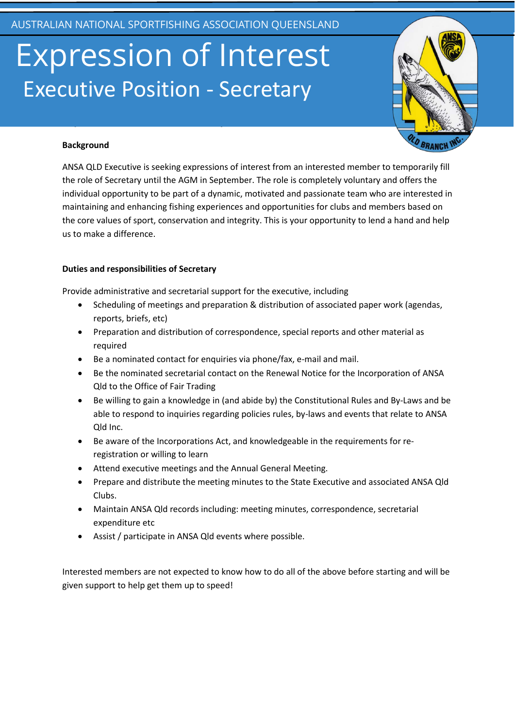## Expression of Interest Executive Position - Secretary



#### **Background**

ANSA QLD Executive is seeking expressions of interest from an interested member to temporarily fill the role of Secretary until the AGM in September. The role is completely voluntary and offers the individual opportunity to be part of a dynamic, motivated and passionate team who are interested in maintaining and enhancing fishing experiences and opportunities for clubs and members based on the core values of sport, conservation and integrity. This is your opportunity to lend a hand and help us to make a difference.

### **Duties and responsibilities of Secretary**

Provide administrative and secretarial support for the executive, including

**Expression of Interest: Secretary, ANSA QLD Executive Role**

- Scheduling of meetings and preparation & distribution of associated paper work (agendas, reports, briefs, etc)
- Preparation and distribution of correspondence, special reports and other material as required
- Be a nominated contact for enquiries via phone/fax, e-mail and mail.
- Be the nominated secretarial contact on the Renewal Notice for the Incorporation of ANSA Qld to the Office of Fair Trading
- Be willing to gain a knowledge in (and abide by) the Constitutional Rules and By-Laws and be able to respond to inquiries regarding policies rules, by-laws and events that relate to ANSA Qld Inc.
- Be aware of the Incorporations Act, and knowledgeable in the requirements for reregistration or willing to learn
- Attend executive meetings and the Annual General Meeting.
- Prepare and distribute the meeting minutes to the State Executive and associated ANSA Qld Clubs.
- Maintain ANSA Qld records including: meeting minutes, correspondence, secretarial expenditure etc
- Assist / participate in ANSA Qld events where possible.

Interested members are not expected to know how to do all of the above before starting and will be given support to help get them up to speed!